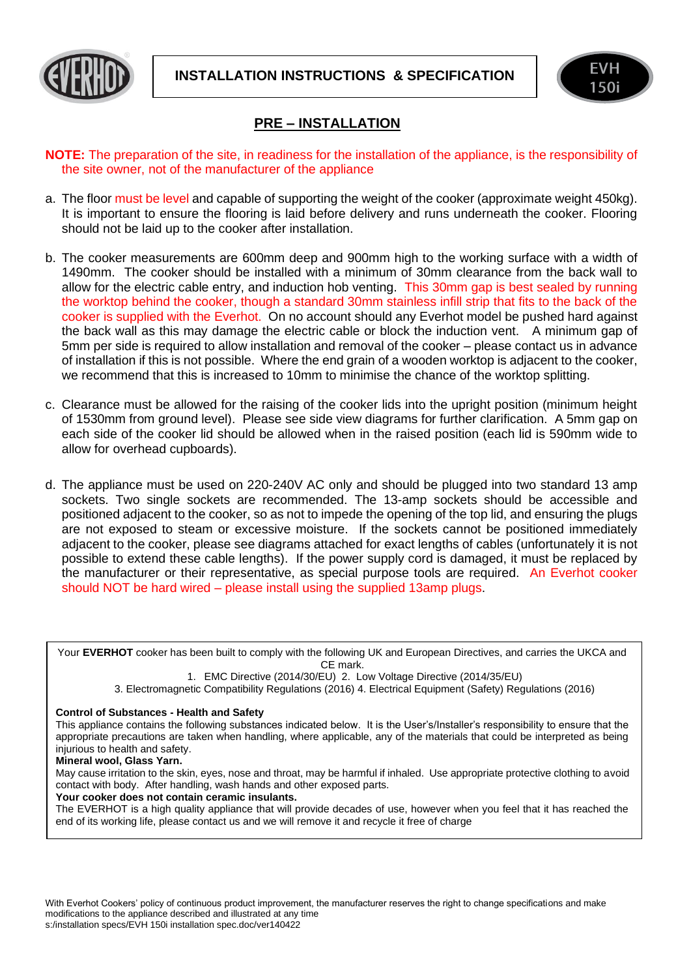



## **PRE – INSTALLATION**

- **NOTE:** The preparation of the site, in readiness for the installation of the appliance, is the responsibility of the site owner, not of the manufacturer of the appliance
- a. The floor must be level and capable of supporting the weight of the cooker (approximate weight 450kg). It is important to ensure the flooring is laid before delivery and runs underneath the cooker. Flooring should not be laid up to the cooker after installation.
- b. The cooker measurements are 600mm deep and 900mm high to the working surface with a width of 1490mm. The cooker should be installed with a minimum of 30mm clearance from the back wall to allow for the electric cable entry, and induction hob venting. This 30mm gap is best sealed by running the worktop behind the cooker, though a standard 30mm stainless infill strip that fits to the back of the cooker is supplied with the Everhot. On no account should any Everhot model be pushed hard against the back wall as this may damage the electric cable or block the induction vent. A minimum gap of 5mm per side is required to allow installation and removal of the cooker – please contact us in advance of installation if this is not possible. Where the end grain of a wooden worktop is adjacent to the cooker, we recommend that this is increased to 10mm to minimise the chance of the worktop splitting.
- c. Clearance must be allowed for the raising of the cooker lids into the upright position (minimum height of 1530mm from ground level). Please see side view diagrams for further clarification. A 5mm gap on each side of the cooker lid should be allowed when in the raised position (each lid is 590mm wide to allow for overhead cupboards).
- d. The appliance must be used on 220-240V AC only and should be plugged into two standard 13 amp sockets. Two single sockets are recommended. The 13-amp sockets should be accessible and positioned adjacent to the cooker, so as not to impede the opening of the top lid, and ensuring the plugs are not exposed to steam or excessive moisture. If the sockets cannot be positioned immediately adjacent to the cooker, please see diagrams attached for exact lengths of cables (unfortunately it is not possible to extend these cable lengths). If the power supply cord is damaged, it must be replaced by the manufacturer or their representative, as special purpose tools are required. An Everhot cooker should NOT be hard wired – please install using the supplied 13amp plugs.

Your **EVERHOT** cooker has been built to comply with the following UK and European Directives, and carries the UKCA and CE mark.

1. EMC Directive (2014/30/EU) 2. Low Voltage Directive (2014/35/EU)

3. Electromagnetic Compatibility Regulations (2016) 4. Electrical Equipment (Safety) Regulations (2016)

## **Control of Substances - Health and Safety**

This appliance contains the following substances indicated below. It is the User's/Installer's responsibility to ensure that the appropriate precautions are taken when handling, where applicable, any of the materials that could be interpreted as being injurious to health and safety.

## **Mineral wool, Glass Yarn.**

May cause irritation to the skin, eyes, nose and throat, may be harmful if inhaled. Use appropriate protective clothing to avoid contact with body. After handling, wash hands and other exposed parts.

**Your cooker does not contain ceramic insulants.**  The EVERHOT is a high quality appliance that will provide decades of use, however when you feel that it has reached the end of its working life, please contact us and we will remove it and recycle it free of charge